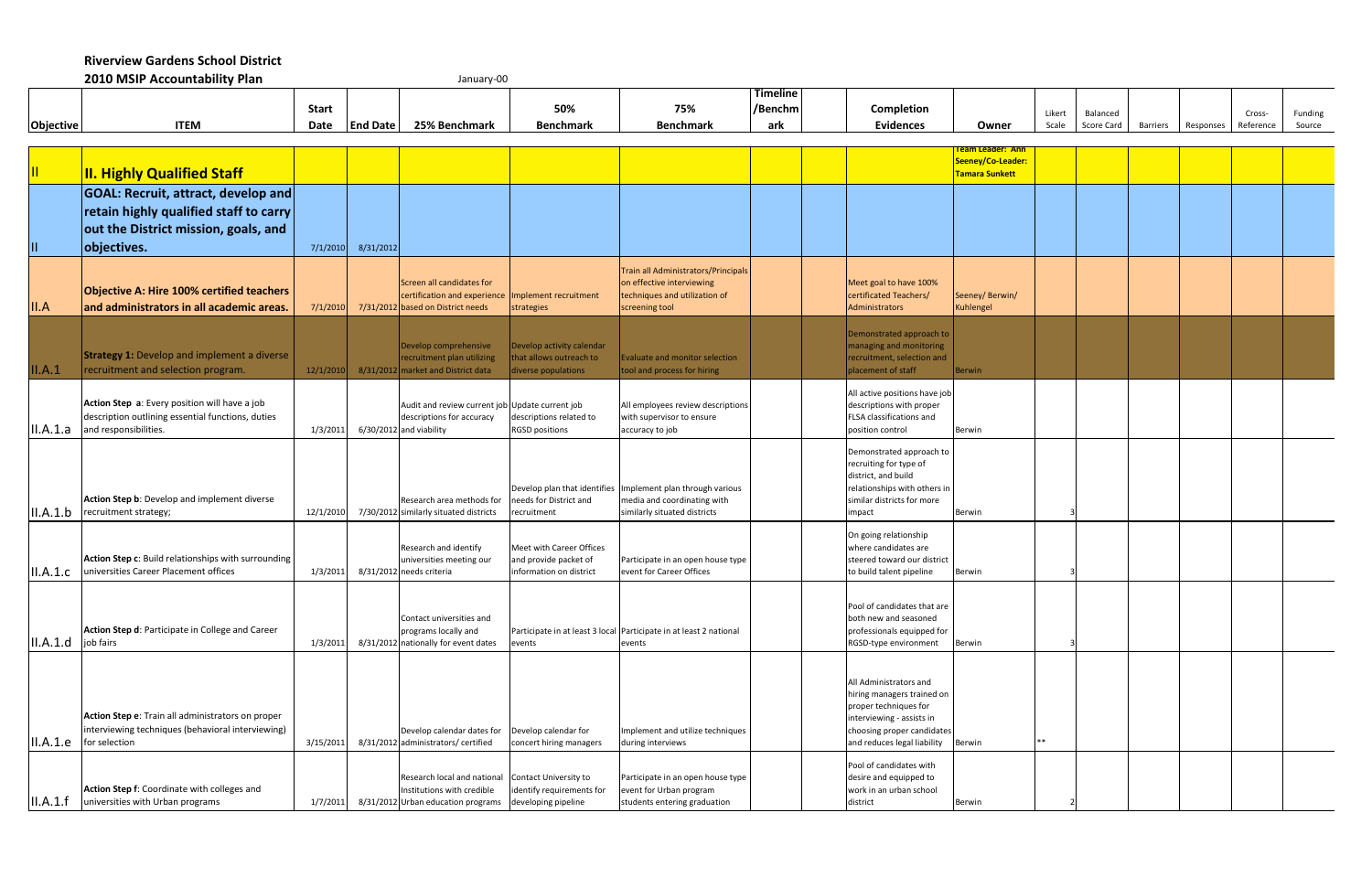**Riverview Gardens School District** 

|                                    | 2010 MSIP Accountability Plan                                                                                                                    |                      |                 | January-00                                                                                                            |                                                                              |                                                                                                                            |                                   |                                                                                                                                                                         |                                                                |                 |                        |                 |           |                     |                   |
|------------------------------------|--------------------------------------------------------------------------------------------------------------------------------------------------|----------------------|-----------------|-----------------------------------------------------------------------------------------------------------------------|------------------------------------------------------------------------------|----------------------------------------------------------------------------------------------------------------------------|-----------------------------------|-------------------------------------------------------------------------------------------------------------------------------------------------------------------------|----------------------------------------------------------------|-----------------|------------------------|-----------------|-----------|---------------------|-------------------|
| Objective                          | <b>ITEM</b>                                                                                                                                      | <b>Start</b><br>Date | <b>End Date</b> | 25% Benchmark                                                                                                         | 50%<br><b>Benchmark</b>                                                      | 75%<br><b>Benchmark</b>                                                                                                    | <b>Timeline</b><br>/Benchm<br>ark | <b>Completion</b><br><b>Evidences</b>                                                                                                                                   | Owner                                                          | Likert<br>Scale | Balanced<br>Score Card | <b>Barriers</b> | Responses | Cross-<br>Reference | Funding<br>Source |
|                                    |                                                                                                                                                  |                      |                 |                                                                                                                       |                                                                              |                                                                                                                            |                                   |                                                                                                                                                                         |                                                                |                 |                        |                 |           |                     |                   |
| $\mathbf{II}$                      | <b>II. Highly Qualified Staff</b>                                                                                                                |                      |                 |                                                                                                                       |                                                                              |                                                                                                                            |                                   |                                                                                                                                                                         | <b>Feam Leader: Ann</b><br>Seeney/Co-Leader:<br>Tamara Sunkett |                 |                        |                 |           |                     |                   |
|                                    | <b>GOAL: Recruit, attract, develop and</b><br>retain highly qualified staff to carry<br>out the District mission, goals, and                     |                      |                 |                                                                                                                       |                                                                              |                                                                                                                            |                                   |                                                                                                                                                                         |                                                                |                 |                        |                 |           |                     |                   |
| $\vert \text{II} \vert$<br>II.A    | objectives.<br><b>Objective A: Hire 100% certified teachers</b><br>and administrators in all academic areas.                                     | 7/1/2010<br>7/1/2010 | 8/31/2012       | Screen all candidates for<br>certification and experience<br>7/31/2012 based on District needs                        | Implement recruitment<br>strategies                                          | Train all Administrators/Principals<br>on effective interviewing<br>techniques and utilization of<br>screening tool        |                                   | Meet goal to have 100%<br>certificated Teachers/<br>Administrators                                                                                                      | Seeney/Berwin/<br>Kuhlengel                                    |                 |                        |                 |           |                     |                   |
| II.A.1                             | <b>Strategy 1:</b> Develop and implement a diverse<br>recruitment and selection program.                                                         | 12/1/2010            |                 | Develop comprehensive<br>recruitment plan utilizing<br>8/31/2012 market and District data                             | Develop activity calendar<br>that allows outreach to<br>diverse populations  | Evaluate and monitor selection<br>tool and process for hiring                                                              |                                   | Demonstrated approach to<br>managing and monitoring<br>recruitment, selection and<br>placement of staff                                                                 | Berwin                                                         |                 |                        |                 |           |                     |                   |
| II.A.1.a                           | Action Step a: Every position will have a job<br>description outlining essential functions, duties<br>and responsibilities.                      | 1/3/2011             |                 | Audit and review current job Update current job<br>descriptions for accuracy<br>6/30/2012 and viability               | descriptions related to<br><b>RGSD positions</b>                             | All employees review descriptions<br>with supervisor to ensure<br>accuracy to job                                          |                                   | All active positions have job<br>descriptions with proper<br>FLSA classifications and<br>position control                                                               | Berwin                                                         |                 |                        |                 |           |                     |                   |
| II.A.1.b                           | Action Step b: Develop and implement diverse<br>recruitment strategy;                                                                            | 12/1/2010            |                 | Research area methods for<br>7/30/2012 similarly situated districts                                                   | needs for District and<br>recruitment                                        | Develop plan that identifies Implement plan through various<br>media and coordinating with<br>similarly situated districts |                                   | Demonstrated approach to<br>recruiting for type of<br>district, and build<br>relationships with others in<br>similar districts for more<br>impact                       | Berwin                                                         |                 |                        |                 |           |                     |                   |
| II.A.1.c                           | Action Step c: Build relationships with surrounding<br>universities Career Placement offices                                                     | 1/3/2011             |                 | Research and identify<br>universities meeting our<br>8/31/2012 needs criteria                                         | Meet with Career Offices<br>and provide packet of<br>information on district | Participate in an open house type<br>event for Career Offices                                                              |                                   | On going relationship<br>where candidates are<br>steered toward our district<br>to build talent pipeline                                                                | Berwin                                                         |                 |                        |                 |           |                     |                   |
| $\vert$ II.A.1.d $\vert$ job fairs | Action Step d: Participate in College and Career                                                                                                 | 1/3/2011             |                 | Contact universities and<br>programs locally and<br>8/31/2012 nationally for event dates                              | events                                                                       | Participate in at least 3 local Participate in at least 2 national<br>events                                               |                                   | Pool of candidates that are<br>both new and seasoned<br>professionals equipped for<br>RGSD-type environment                                                             | Berwin                                                         |                 |                        |                 |           |                     |                   |
|                                    | Action Step e: Train all administrators on proper<br>interviewing techniques (behavioral interviewing)<br>$\vert$ II.A.1.e $\vert$ for selection | 3/15/2011            |                 | Develop calendar dates for<br>8/31/2012 administrators/ certified                                                     | Develop calendar for<br>concert hiring managers                              | Implement and utilize techniques<br>during interviews                                                                      |                                   | All Administrators and<br>hiring managers trained on<br>proper techniques for<br>interviewing - assists in<br>choosing proper candidates<br>and reduces legal liability | Berwin                                                         | $***$           |                        |                 |           |                     |                   |
| II.A.1.f                           | Action Step f: Coordinate with colleges and<br>universities with Urban programs                                                                  | 1/7/2011             |                 | Research local and national Contact University to<br>Institutions with credible<br>8/31/2012 Urban education programs | identify requirements for<br>developing pipeline                             | Participate in an open house type<br>event for Urban program<br>students entering graduation                               |                                   | Pool of candidates with<br>desire and equipped to<br>work in an urban school<br>district                                                                                | Berwin                                                         |                 |                        |                 |           |                     |                   |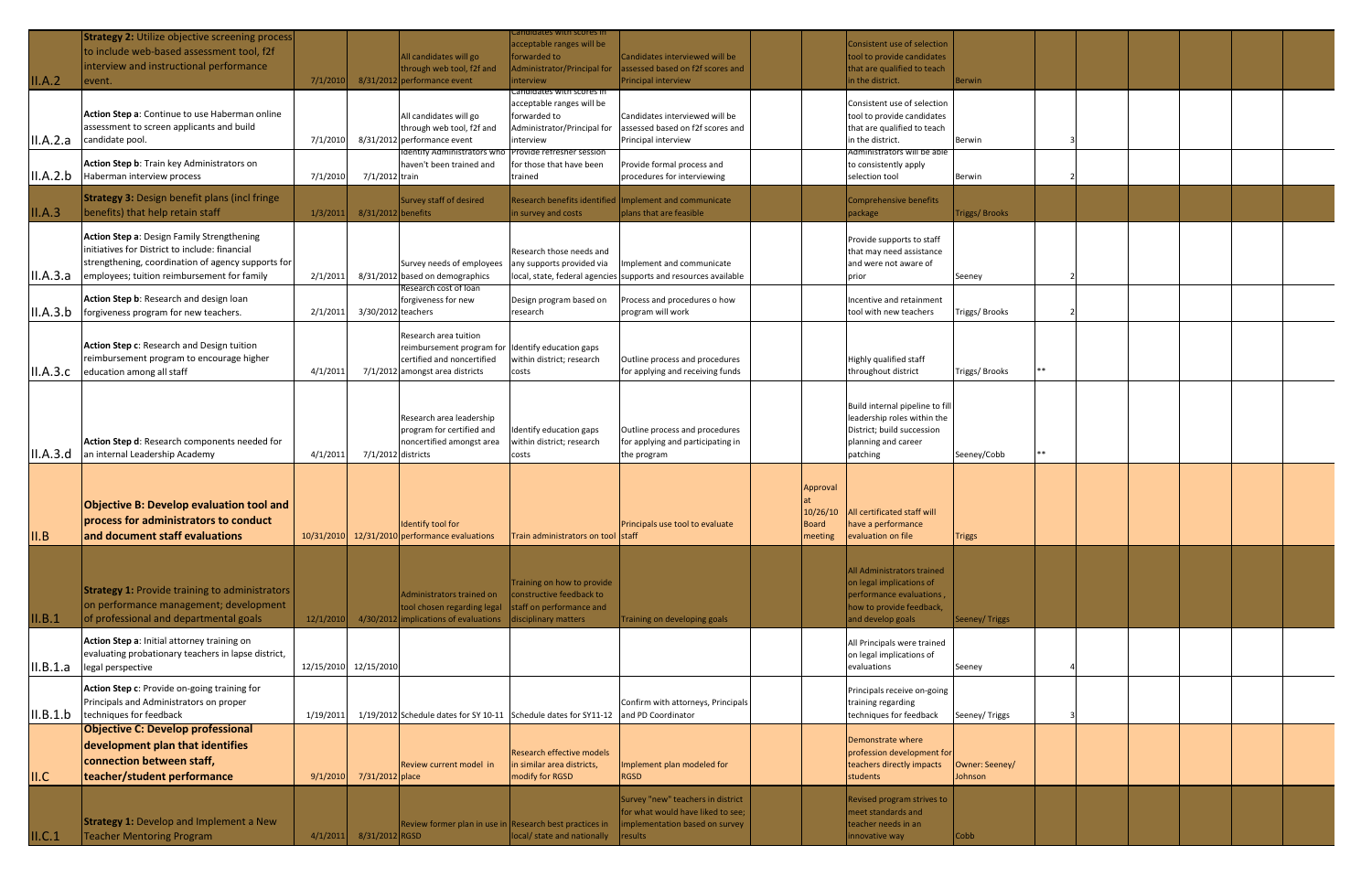| II.A.2   | <b>Strategy 2: Utilize objective screening process</b><br>to include web-based assessment tool, f2f<br>interview and instructional performance<br>event.                                          | 7/1/2010   | 8/31/2012 performance event | All candidates will go<br>through web tool, f2f and                                                                                         | andidates with scores in<br>acceptable ranges will be<br>forwarded to<br>Administrator/Principal for<br>interview  | Candidates interviewed will be<br>assessed based on f2f scores and<br>Principal interview                             |                                                 | Consistent use of selection<br>tool to provide candidates<br>that are qualified to teach<br>in the district.                               | <b>Berwin</b>             |  |  |  |
|----------|---------------------------------------------------------------------------------------------------------------------------------------------------------------------------------------------------|------------|-----------------------------|---------------------------------------------------------------------------------------------------------------------------------------------|--------------------------------------------------------------------------------------------------------------------|-----------------------------------------------------------------------------------------------------------------------|-------------------------------------------------|--------------------------------------------------------------------------------------------------------------------------------------------|---------------------------|--|--|--|
| II.A.2.a | Action Step a: Continue to use Haberman online<br>assessment to screen applicants and build<br>candidate pool.                                                                                    | 7/1/2010   | 8/31/2012 performance event | All candidates will go<br>through web tool, f2f and                                                                                         | Candidates with scores in<br>acceptable ranges will be<br>forwarded to<br>Administrator/Principal for<br>interview | Candidates interviewed will be<br>assessed based on f2f scores and<br>Principal interview                             |                                                 | Consistent use of selection<br>tool to provide candidates<br>that are qualified to teach<br>in the district.                               | <b>I</b> Berwin           |  |  |  |
| II.A.2.b | Action Step b: Train key Administrators on<br>Haberman interview process                                                                                                                          | 7/1/2010   | 7/1/2012 train              | Identify Administrators wh<br>haven't been trained and                                                                                      | Provide refresher session<br>for those that have been<br>trained                                                   | Provide formal process and<br>procedures for interviewing                                                             |                                                 | Administrators will be able<br>to consistently apply<br>selection tool                                                                     | Berwin                    |  |  |  |
| II.A.3   | <b>Strategy 3: Design benefit plans (incl fringe</b><br>benefits) that help retain staff                                                                                                          | 1/3/2011   | 8/31/2012 benefits          | Survey staff of desired                                                                                                                     | in survey and costs                                                                                                | Research benefits identified Implement and communicate<br>plans that are feasible                                     |                                                 | Comprehensive benefits<br>package                                                                                                          | Triggs/ Brooks            |  |  |  |
| II.A.3.a | Action Step a: Design Family Strengthening<br>initiatives for District to include: financial<br>strengthening, coordination of agency supports for<br>employees; tuition reimbursement for family | 2/1/201    |                             | Survey needs of employees<br>8/31/2012 based on demographics                                                                                | Research those needs and<br>any supports provided via                                                              | Implement and communicate<br>local, state, federal agencies supports and resources available                          |                                                 | Provide supports to staff<br>that may need assistance<br>and were not aware of<br>prior                                                    | Seeney                    |  |  |  |
| II.A.3.b | Action Step b: Research and design loan<br>forgiveness program for new teachers.                                                                                                                  | 2/1/2011   | 3/30/2012 teachers          | Research cost of loan<br>forgiveness for new                                                                                                | Design program based on<br>research                                                                                | Process and procedures o how<br>program will work                                                                     |                                                 | Incentive and retainment<br>tool with new teachers                                                                                         | Triggs/ Brooks            |  |  |  |
|          | Action Step c: Research and Design tuition<br>reimbursement program to encourage higher<br> II.A.3.c   education among all staff                                                                  | 4/1/2011   |                             | Research area tuition<br>reimbursement program for Identify education gaps<br>certified and noncertified<br>7/1/2012 amongst area districts | within district; research<br>costs                                                                                 | Outline process and procedures<br>for applying and receiving funds                                                    |                                                 | Highly qualified staff<br>throughout district                                                                                              | Triggs/ Brooks            |  |  |  |
| II.A.3.d | Action Step d: Research components needed for<br>an internal Leadership Academy                                                                                                                   | 4/1/2011   | 7/1/2012 districts          | Research area leadership<br>program for certified and<br>noncertified amongst area                                                          | Identify education gaps<br>within district; research<br>costs                                                      | Outline process and procedures<br>for applying and participating in<br>the program                                    |                                                 | Build internal pipeline to fil<br>leadership roles within the<br>District; build succession<br>planning and career<br>patching             | Seeney/Cobb               |  |  |  |
| II.B     | Objective B: Develop evaluation tool and<br>process for administrators to conduct<br>and document staff evaluations                                                                               | 10/31/2010 |                             | Identify tool for<br>12/31/2010 performance evaluations                                                                                     | Train administrators on tool staff                                                                                 | Principals use tool to evaluate                                                                                       | Approval<br>10/26/10<br><b>Board</b><br>meeting | <b>All certificated staff will</b><br>have a performance<br>evaluation on file                                                             | <b>Triggs</b>             |  |  |  |
| II.B.1   | <b>Strategy 1: Provide training to administrators</b><br>on performance management; development<br>of professional and departmental goals                                                         | 12/1/2010  |                             | Administrators trained on<br>tool chosen regarding legal<br>4/30/2012 implications of evaluations                                           | Training on how to provide<br>constructive feedback to<br>staff on performance and<br>disciplinary matters         | Training on developing goals                                                                                          |                                                 | <b>All Administrators trained</b><br>on legal implications of<br>performance evaluations,<br>how to provide feedback,<br>and develop goals | Seeney/Triggs             |  |  |  |
| II.B.1.a | Action Step a: Initial attorney training on<br>evaluating probationary teachers in lapse district,<br>legal perspective                                                                           | 12/15/2010 | 12/15/2010                  |                                                                                                                                             |                                                                                                                    |                                                                                                                       |                                                 | All Principals were trained<br>on legal implications of<br>evaluations                                                                     | Seeney                    |  |  |  |
| II.B.1.b | Action Step c: Provide on-going training for<br>Principals and Administrators on proper<br>techniques for feedback                                                                                | 1/19/2011  |                             |                                                                                                                                             | 1/19/2012 Schedule dates for SY 10-11 Schedule dates for SY11-12 and PD Coordinator                                | Confirm with attorneys, Principals                                                                                    |                                                 | Principals receive on-going<br>training regarding<br>techniques for feedback                                                               | Seeney/Triggs             |  |  |  |
| II.C     | <b>Objective C: Develop professional</b><br>development plan that identifies<br>connection between staff,<br>teacher/student performance                                                          | 9/1/2010   | 7/31/2012 place             | Review current model in                                                                                                                     | <b>Research effective models</b><br>in similar area districts,<br>modify for RGSD                                  | Implement plan modeled for<br><b>RGSD</b>                                                                             |                                                 | Demonstrate where<br>profession development for<br>teachers directly impacts<br>students                                                   | Owner: Seeney/<br>Johnson |  |  |  |
| II.C.1   | <b>Strategy 1: Develop and Implement a New</b><br><b>Teacher Mentoring Program</b>                                                                                                                | 4/1/2011   | 8/31/2012 RGSD              |                                                                                                                                             | Review former plan in use in Research best practices in<br>local/ state and nationally                             | Survey "new" teachers in district<br>for what would have liked to see;<br>implementation based on survey<br>  results |                                                 | Revised program strives to<br>meet standards and<br>teacher needs in an<br>innovative way                                                  | Cobb                      |  |  |  |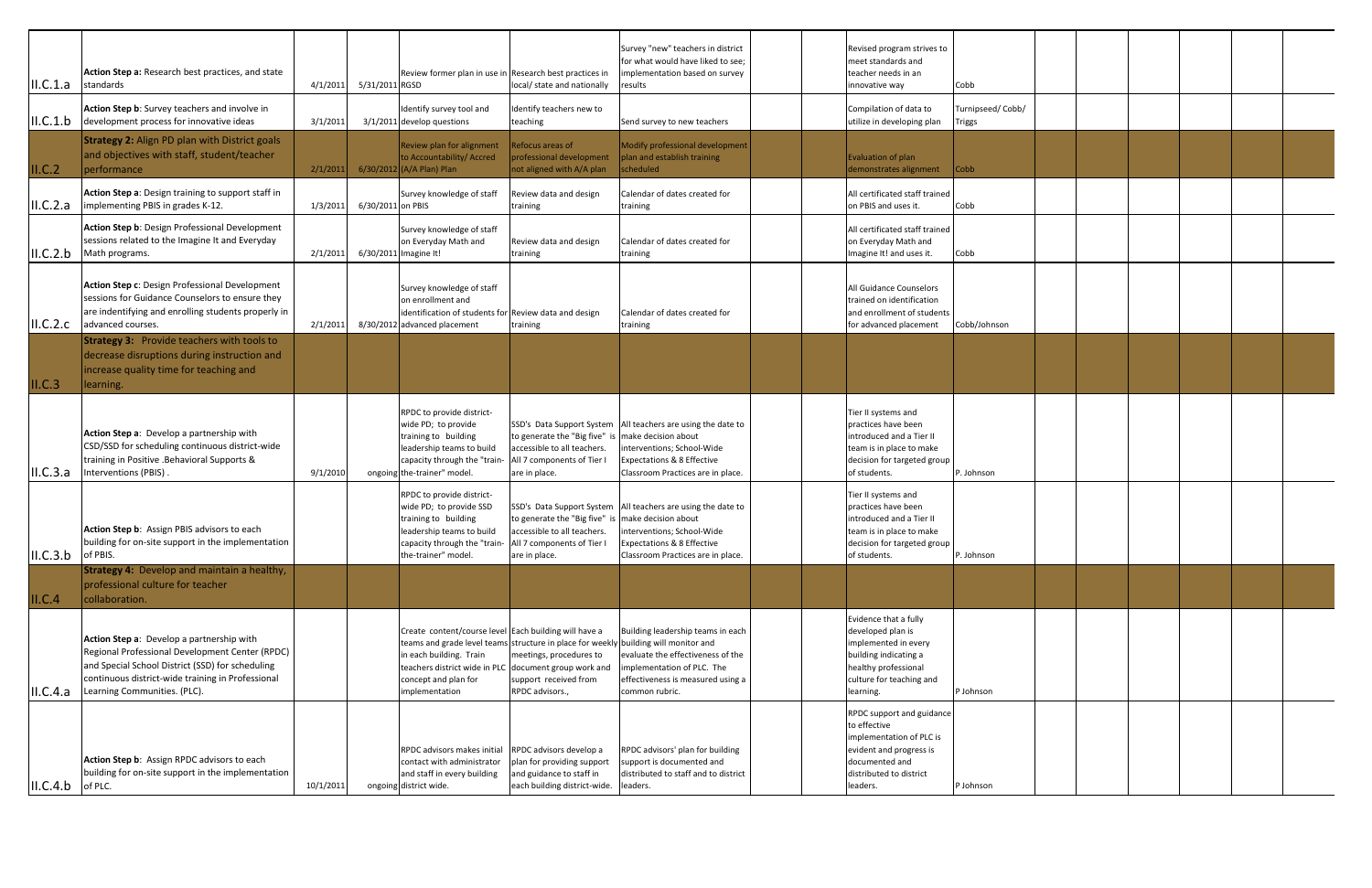| ILC.1.a               | Action Step a: Research best practices, and state<br>standards                                                                                                                                                                        | 4/1/2011  | 5/31/2011 RGSD    | Review former plan in use in Research best practices in                                                                                                                                    | local/ state and nationally                                                                                                                               | Survey "new" teachers in district<br>for what would have liked to see;<br>implementation based on survey<br>results                                                        |  | Revised program strives to<br>meet standards and<br>teacher needs in an<br>innovative way                                                                        | Cobb                              |  |  |  |
|-----------------------|---------------------------------------------------------------------------------------------------------------------------------------------------------------------------------------------------------------------------------------|-----------|-------------------|--------------------------------------------------------------------------------------------------------------------------------------------------------------------------------------------|-----------------------------------------------------------------------------------------------------------------------------------------------------------|----------------------------------------------------------------------------------------------------------------------------------------------------------------------------|--|------------------------------------------------------------------------------------------------------------------------------------------------------------------|-----------------------------------|--|--|--|
| II.C.1.b              | Action Step b: Survey teachers and involve in<br>development process for innovative ideas                                                                                                                                             | 3/1/2011  |                   | Identify survey tool and<br>$3/1/2011$ develop questions                                                                                                                                   | Identify teachers new to<br>teaching                                                                                                                      | Send survey to new teachers                                                                                                                                                |  | Compilation of data to<br>utilize in developing plan                                                                                                             | Turnipseed/Cobb/<br><b>Triggs</b> |  |  |  |
| ILC.2                 | <b>Strategy 2: Align PD plan with District goals</b><br>and objectives with staff, student/teacher<br>performance                                                                                                                     | 2/1/2011  |                   | Review plan for alignment<br>to Accountability/ Accred<br>6/30/2012 (A/A Plan) Plan                                                                                                        | Refocus areas of<br>professional development<br>not aligned with A/A plan                                                                                 | Modify professional development<br>plan and establish training<br>scheduled                                                                                                |  | Evaluation of plan<br>demonstrates alignment                                                                                                                     | $\mathsf{Cobb}$                   |  |  |  |
| II.C.2.a              | Action Step a: Design training to support staff in<br>implementing PBIS in grades K-12.                                                                                                                                               | 1/3/2011  | 6/30/2011 on PBIS | Survey knowledge of staff                                                                                                                                                                  | Review data and design<br>training                                                                                                                        | Calendar of dates created for<br>training                                                                                                                                  |  | All certificated staff trained<br>on PBIS and uses it.                                                                                                           | Cobb                              |  |  |  |
| II.C.2.b              | Action Step b: Design Professional Development<br>sessions related to the Imagine It and Everyday<br>Math programs.                                                                                                                   | 2/1/2011  |                   | Survey knowledge of staff<br>on Everyday Math and<br>6/30/2011 Imagine It!                                                                                                                 | Review data and design<br>training                                                                                                                        | Calendar of dates created for<br>training                                                                                                                                  |  | All certificated staff trained<br>on Everyday Math and<br>Imagine It! and uses it.                                                                               | Cobb                              |  |  |  |
| II.C.2.c              | Action Step c: Design Professional Development<br>sessions for Guidance Counselors to ensure they<br>are indentifying and enrolling students properly in<br>advanced courses.                                                         | 2/1/2011  |                   | Survey knowledge of staff<br>on enrollment and<br>identification of students for Review data and design<br>8/30/2012 advanced placement                                                    | training                                                                                                                                                  | Calendar of dates created for<br>training                                                                                                                                  |  | All Guidance Counselors<br>trained on identification<br>and enrollment of students<br>for advanced placement                                                     | Cobb/Johnson                      |  |  |  |
| ILC.3                 | <b>Strategy 3:</b> Provide teachers with tools to<br>decrease disruptions during instruction and<br>increase quality time for teaching and<br>learning.                                                                               |           |                   |                                                                                                                                                                                            |                                                                                                                                                           |                                                                                                                                                                            |  |                                                                                                                                                                  |                                   |  |  |  |
|                       | Action Step a: Develop a partnership with<br>CSD/SSD for scheduling continuous district-wide<br>training in Positive .Behavioral Supports &<br>II.C.3.a   Interventions (PBIS).                                                       | 9/1/2010  |                   | RPDC to provide district-<br>wide PD; to provide<br>training to building<br>leadership teams to build<br>capacity through the "train-<br>ongoing the-trainer" model.                       | to generate the "Big five" is make decision about<br>accessible to all teachers.<br>All 7 components of Tier I<br>are in place.                           | SSD's Data Support System All teachers are using the date to<br>interventions; School-Wide<br><b>Expectations &amp; 8 Effective</b><br>Classroom Practices are in place.   |  | Tier II systems and<br>practices have been<br>introduced and a Tier II<br>team is in place to make<br>decision for targeted group<br>of students.                | P. Johnson                        |  |  |  |
| $ II.C.3.b $ of PBIS. | Action Step b: Assign PBIS advisors to each<br>building for on-site support in the implementation                                                                                                                                     |           |                   | RPDC to provide district-<br>wide PD; to provide SSD<br>training to building<br>leadership teams to build<br>capacity through the "train-<br>the-trainer" model.                           | to generate the "Big five" is make decision about<br>accessible to all teachers.<br>All 7 components of Tier I<br>are in place.                           | SSD's Data Support System   All teachers are using the date to<br>interventions; School-Wide<br><b>Expectations &amp; 8 Effective</b><br>Classroom Practices are in place. |  | Tier II systems and<br>practices have been<br>lintroduced and a Tier II<br>team is in place to make<br>decision for targeted group<br>of students.               | P. Johnson                        |  |  |  |
| II.C.4                | <b>Strategy 4:</b> Develop and maintain a healthy,<br>professional culture for teacher<br>collaboration.                                                                                                                              |           |                   |                                                                                                                                                                                            |                                                                                                                                                           |                                                                                                                                                                            |  |                                                                                                                                                                  |                                   |  |  |  |
| II.C.4.a              | Action Step a: Develop a partnership with<br>Regional Professional Development Center (RPDC)<br>and Special School District (SSD) for scheduling<br>continuous district-wide training in Professional<br>Learning Communities. (PLC). |           |                   | Create content/course level Each building will have a<br>teams and grade level teams<br>in each building. Train<br>teachers district wide in PLC<br>concept and plan for<br>implementation | structure in place for weekly building will monitor and<br>meetings, procedures to<br>document group work and<br>support received from<br>RPDC advisors., | Building leadership teams in each<br>evaluate the effectiveness of the<br>implementation of PLC. The<br>effectiveness is measured using a<br>common rubric.                |  | Evidence that a fully<br>developed plan is<br>implemented in every<br>building indicating a<br>healthy professional<br>culture for teaching and<br>learning.     | P Johnson                         |  |  |  |
| $ II.C.4.b $ of PLC.  | Action Step b: Assign RPDC advisors to each<br>building for on-site support in the implementation                                                                                                                                     | 10/1/2011 |                   | RPDC advisors makes initial<br>contact with administrator<br>and staff in every building<br>ongoing district wide.                                                                         | RPDC advisors develop a<br>plan for providing support<br>and guidance to staff in<br>each building district-wide. leaders.                                | RPDC advisors' plan for building<br>support is documented and<br>distributed to staff and to district                                                                      |  | <b>RPDC</b> support and guidance<br>to effective<br>implementation of PLC is<br>evident and progress is<br>documented and<br>distributed to district<br>leaders. | P Johnson                         |  |  |  |